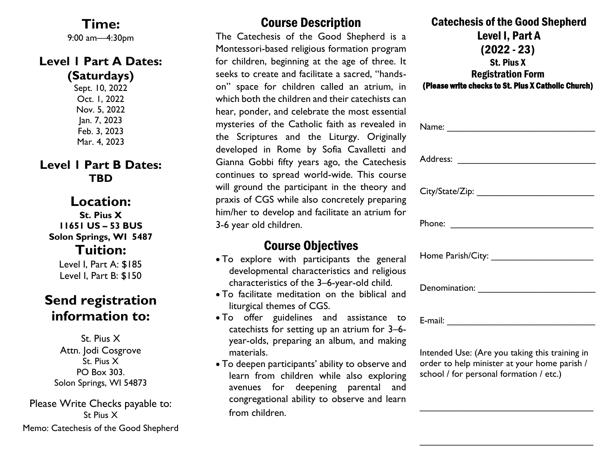**Time:** 9:00 am—4:30pm

#### **Level 1 Part A Dates: (Saturdays)**

Sept. 10, 2022 Oct. 1, 2022 Nov. 5, 2022 Jan. 7, 2023 Feb. 3, 2023 Mar. 4, 2023

#### **Level 1 Part B Dates: TBD**

## **Location:**

**St. Pius X 11651 US – 53 BUS Solon Springs, WI 5487 Tuition:**

Level I, Part A: \$185 Level I, Part B: \$150

## **Send registration information to:**

St. Pius X Attn. Jodi Cosgrove St. Pius X PO Box 303. Solon Springs, WI 54873

Please Write Checks payable to: St Pius X Memo: Catechesis of the Good Shepherd

### Course Description

The Catechesis of the Good Shepherd is a Montessori-based religious formation program for children, beginning at the age of three. It seeks to create and facilitate a sacred, "handson" space for children called an atrium, in which both the children and their catechists can hear, ponder, and celebrate the most essential mysteries of the Catholic faith as revealed in the Scriptures and the Liturgy. Originally developed in Rome by Sofia Cavalletti and Gianna Gobbi fifty years ago, the Catechesis continues to spread world-wide. This course will ground the participant in the theory and praxis of CGS while also concretely preparing him/her to develop and facilitate an atrium for 3-6 year old children.

### Course Objectives

- To explore with participants the general developmental characteristics and religious characteristics of the 3–6-year-old child.
- To facilitate meditation on the biblical and liturgical themes of CGS.
- To offer guidelines and assistance to catechists for setting up an atrium for 3–6 year-olds, preparing an album, and making materials.
- To deepen participants' ability to observe and learn from children while also exploring avenues for deepening parental and congregational ability to observe and learn from children.

| <b>Catechesis of the Good Shepherd</b>              |
|-----------------------------------------------------|
| Level I, Part A                                     |
| $(2022 - 23)$                                       |
| <b>St. Pius X</b>                                   |
| <b>Registration Form</b>                            |
| (Please write checks to St. Plus X Catholic Church) |

Intended Use: (Are you taking this training in order to help minister at your home parish / school / for personal formation / etc.)

\_\_\_\_\_\_\_\_\_\_\_\_\_\_\_\_\_\_\_\_\_\_\_\_\_\_\_\_\_\_\_\_\_\_

\_\_\_\_\_\_\_\_\_\_\_\_\_\_\_\_\_\_\_\_\_\_\_\_\_\_\_\_\_\_\_\_\_\_